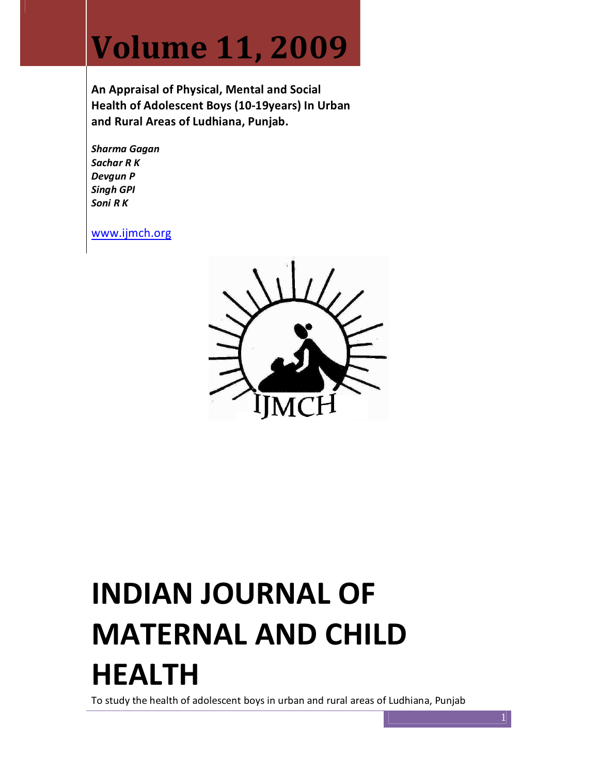# Volume 11, 2009

An Appraisal of Physical, Mental and Social Health of Adolescent Boys (10-19years) In Urban and Rural Areas of Ludhiana, Punjab.

Sharma Gagan Sachar R K Devgun P Singh GPI Soni R K

www.ijmch.org



# INDIAN JOURNAL OF MATERNAL AND CHILD HEALTH

To study the health of adolescent boys in urban and rural areas of Ludhiana, Punjab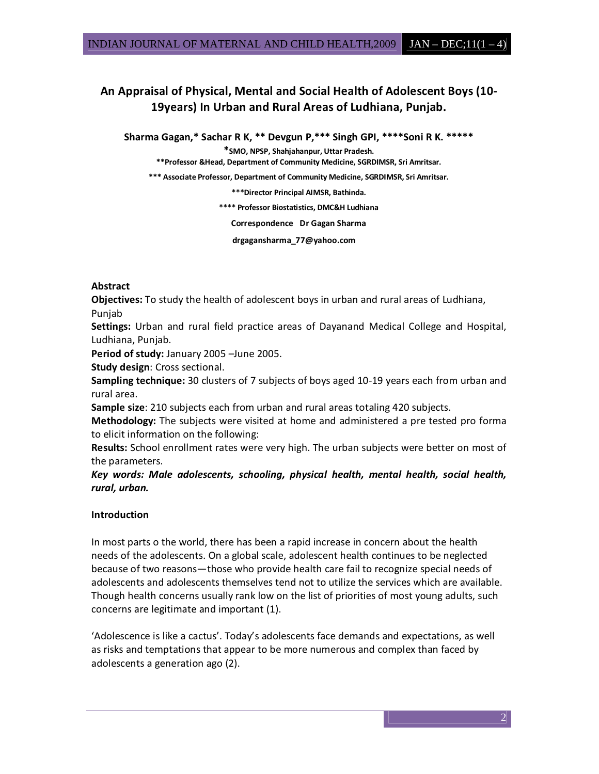# An Appraisal of Physical, Mental and Social Health of Adolescent Boys (10- 19years) In Urban and Rural Areas of Ludhiana, Punjab.

Sharma Gagan,\* Sachar R K, \*\* Devgun P,\*\*\* Singh GPI, \*\*\*\*Soni R K. \*\*\*\*\*

\*SMO, NPSP, Shahjahanpur, Uttar Pradesh.

\*\*Professor &Head, Department of Community Medicine, SGRDIMSR, Sri Amritsar.

\*\*\* Associate Professor, Department of Community Medicine, SGRDIMSR, Sri Amritsar.

\*\*\*Director Principal AIMSR, Bathinda.

\*\*\*\* Professor Biostatistics, DMC&H Ludhiana

Correspondence Dr Gagan Sharma

drgagansharma\_77@yahoo.com

# Abstract

Objectives: To study the health of adolescent boys in urban and rural areas of Ludhiana, Punjab

Settings: Urban and rural field practice areas of Dayanand Medical College and Hospital, Ludhiana, Punjab.

Period of study: January 2005 –June 2005.

Study design: Cross sectional.

Sampling technique: 30 clusters of 7 subjects of boys aged 10-19 years each from urban and rural area.

Sample size: 210 subjects each from urban and rural areas totaling 420 subjects.

**Methodology:** The subjects were visited at home and administered a pre tested pro forma to elicit information on the following:

Results: School enrollment rates were very high. The urban subjects were better on most of the parameters.

Key words: Male adolescents, schooling, physical health, mental health, social health, rural, urban.

# Introduction

In most parts o the world, there has been a rapid increase in concern about the health needs of the adolescents. On a global scale, adolescent health continues to be neglected because of two reasons—those who provide health care fail to recognize special needs of adolescents and adolescents themselves tend not to utilize the services which are available. Though health concerns usually rank low on the list of priorities of most young adults, such concerns are legitimate and important (1).

'Adolescence is like a cactus'. Today's adolescents face demands and expectations, as well as risks and temptations that appear to be more numerous and complex than faced by adolescents a generation ago (2).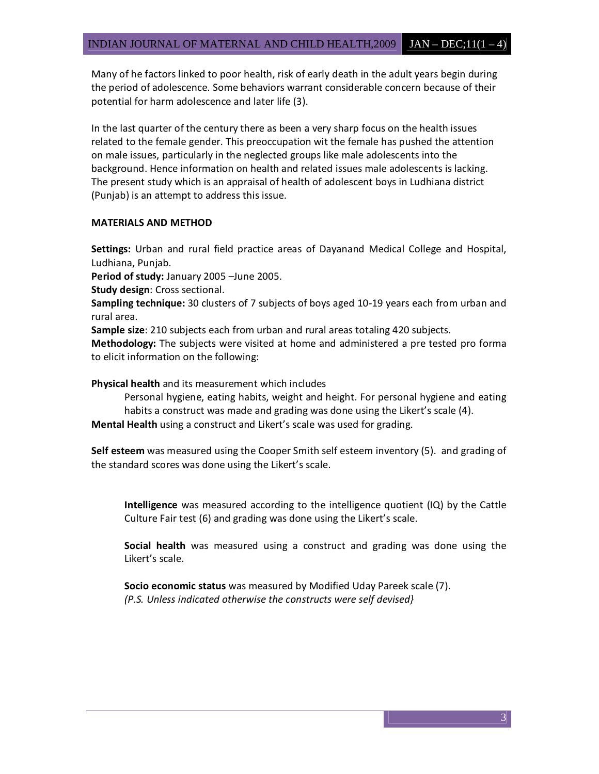Many of he factors linked to poor health, risk of early death in the adult years begin during the period of adolescence. Some behaviors warrant considerable concern because of their potential for harm adolescence and later life (3).

In the last quarter of the century there as been a very sharp focus on the health issues related to the female gender. This preoccupation wit the female has pushed the attention on male issues, particularly in the neglected groups like male adolescents into the background. Hence information on health and related issues male adolescents is lacking. The present study which is an appraisal of health of adolescent boys in Ludhiana district (Punjab) is an attempt to address this issue.

### MATERIALS AND METHOD

Settings: Urban and rural field practice areas of Dayanand Medical College and Hospital, Ludhiana, Punjab.

Period of study: January 2005 –June 2005.

Study design: Cross sectional.

Sampling technique: 30 clusters of 7 subjects of boys aged 10-19 years each from urban and rural area.

Sample size: 210 subjects each from urban and rural areas totaling 420 subjects.

Methodology: The subjects were visited at home and administered a pre tested pro forma to elicit information on the following:

Physical health and its measurement which includes

Personal hygiene, eating habits, weight and height. For personal hygiene and eating habits a construct was made and grading was done using the Likert's scale (4). Mental Health using a construct and Likert's scale was used for grading.

Self esteem was measured using the Cooper Smith self esteem inventory (5). and grading of the standard scores was done using the Likert's scale.

Intelligence was measured according to the intelligence quotient (IQ) by the Cattle Culture Fair test (6) and grading was done using the Likert's scale.

Social health was measured using a construct and grading was done using the Likert's scale.

Socio economic status was measured by Modified Uday Pareek scale (7). (P.S. Unless indicated otherwise the constructs were self devised}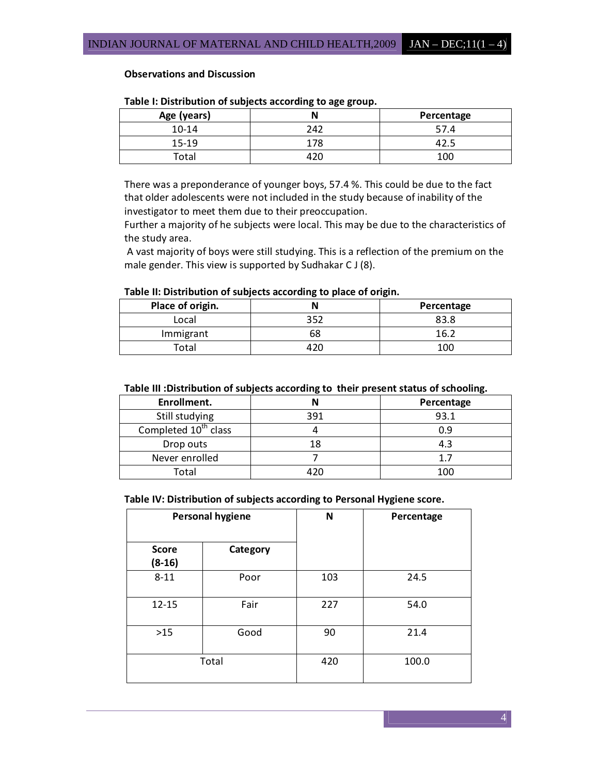#### Observations and Discussion

| Age (years) |     | Percentage |  |  |
|-------------|-----|------------|--|--|
| $10 - 14$   | 242 | 57.4       |  |  |
| 15-19       | 178 |            |  |  |
| $\tau$ otal |     | 100        |  |  |

#### Table I: Distribution of subjects according to age group.

There was a preponderance of younger boys, 57.4 %. This could be due to the fact that older adolescents were not included in the study because of inability of the investigator to meet them due to their preoccupation.

Further a majority of he subjects were local. This may be due to the characteristics of the study area.

 A vast majority of boys were still studying. This is a reflection of the premium on the male gender. This view is supported by Sudhakar C J (8).

#### Table II: Distribution of subjects according to place of origin.

| Place of origin. |     | Percentage |
|------------------|-----|------------|
| Local            | 352 | 83.8       |
| Immigrant        | אכ  | 16.        |
| Total            |     | 100        |

#### Table III :Distribution of subjects according to their present status of schooling.

| Enrollment.                      |     | Percentage |
|----------------------------------|-----|------------|
| Still studying                   | 391 | 93.1       |
| Completed 10 <sup>th</sup> class |     | 0.9        |
| Drop outs                        |     | 4.3        |
| Never enrolled                   |     |            |
| Total                            |     | 100        |

Table IV: Distribution of subjects according to Personal Hygiene score.

| <b>Personal hygiene</b>  |          | N   | Percentage |
|--------------------------|----------|-----|------------|
| <b>Score</b><br>$(8-16)$ | Category |     |            |
| $8 - 11$                 | Poor     | 103 | 24.5       |
| $12 - 15$                | Fair     | 227 | 54.0       |
| $>15$                    | Good     | 90  | 21.4       |
|                          | Total    | 420 | 100.0      |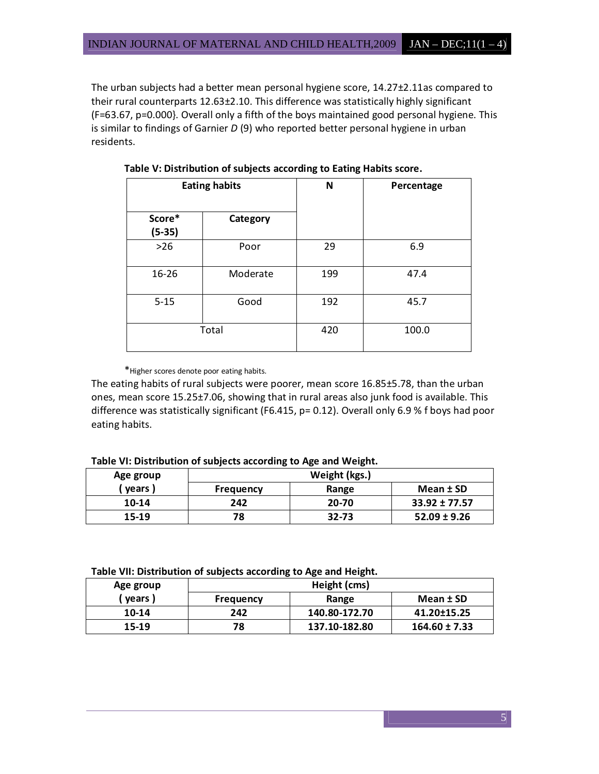The urban subjects had a better mean personal hygiene score, 14.27±2.11as compared to their rural counterparts 12.63±2.10. This difference was statistically highly significant (F=63.67, p=0.000}. Overall only a fifth of the boys maintained good personal hygiene. This is similar to findings of Garnier  $D$  (9) who reported better personal hygiene in urban residents.

|                    | <b>Eating habits</b> |     | Percentage |
|--------------------|----------------------|-----|------------|
| Score*<br>$(5-35)$ | Category             |     |            |
| $>26$              | Poor                 | 29  | 6.9        |
| 16-26              | Moderate             | 199 | 47.4       |
| $5 - 15$           | Good                 | 192 | 45.7       |
|                    | Total                | 420 | 100.0      |

Table V: Distribution of subjects according to Eating Habits score.

\*Higher scores denote poor eating habits.

The eating habits of rural subjects were poorer, mean score 16.85±5.78, than the urban ones, mean score 15.25±7.06, showing that in rural areas also junk food is available. This difference was statistically significant (F6.415, p= 0.12). Overall only 6.9 % f boys had poor eating habits.

Table VI: Distribution of subjects according to Age and Weight.

| Age group | Weight (kgs.) |           |                   |
|-----------|---------------|-----------|-------------------|
| vears)    | Frequency     | Range     | Mean ± SD         |
| 10-14     | 242           | 20-70     | $33.92 \pm 77.57$ |
| 15-19     | 78            | $32 - 73$ | $52.09 \pm 9.26$  |

Table VII: Distribution of subjects according to Age and Height.

| Age group |           | Height (cms)  |                   |
|-----------|-----------|---------------|-------------------|
| vears)    | Frequency | Range         | Mean ± SD         |
| 10-14     | 242       | 140.80-172.70 | 41.20±15.25       |
| 15-19     | 78        | 137.10-182.80 | $164.60 \pm 7.33$ |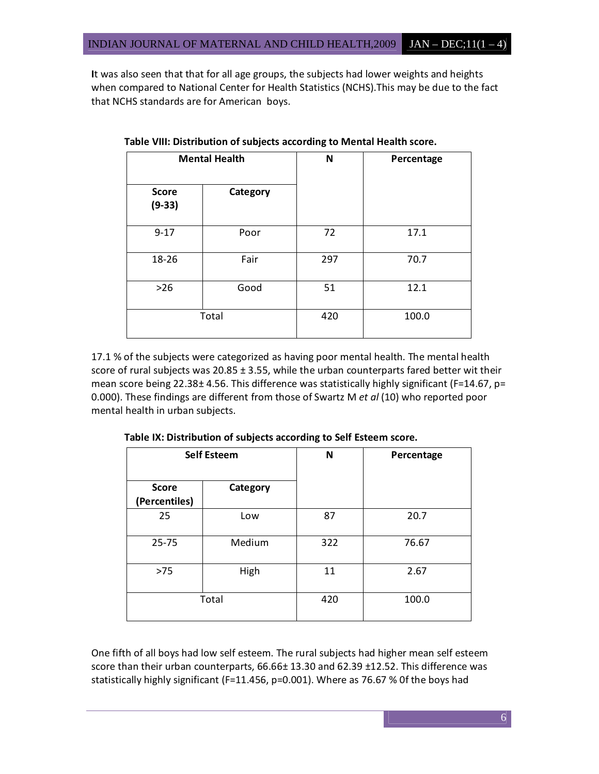It was also seen that that for all age groups, the subjects had lower weights and heights when compared to National Center for Health Statistics (NCHS).This may be due to the fact that NCHS standards are for American boys.

| <b>Mental Health</b>     |          | N   | Percentage |
|--------------------------|----------|-----|------------|
| <b>Score</b><br>$(9-33)$ | Category |     |            |
| $9 - 17$                 | Poor     | 72  | 17.1       |
| 18-26                    | Fair     | 297 | 70.7       |
| $>26$                    | Good     | 51  | 12.1       |
|                          | Total    | 420 | 100.0      |

Table VIII: Distribution of subjects according to Mental Health score.

17.1 % of the subjects were categorized as having poor mental health. The mental health score of rural subjects was 20.85 ± 3.55, while the urban counterparts fared better wit their mean score being 22.38± 4.56. This difference was statistically highly significant (F=14.67, p= 0.000). These findings are different from those of Swartz M et al (10) who reported poor mental health in urban subjects.

| <b>Self Esteem</b>            |          | N   | Percentage |
|-------------------------------|----------|-----|------------|
| <b>Score</b><br>(Percentiles) | Category |     |            |
| 25                            | Low      | 87  | 20.7       |
| $25 - 75$                     | Medium   | 322 | 76.67      |
| $>75$                         | High     | 11  | 2.67       |
|                               | Total    | 420 | 100.0      |

Table IX: Distribution of subjects according to Self Esteem score.

One fifth of all boys had low self esteem. The rural subjects had higher mean self esteem score than their urban counterparts, 66.66± 13.30 and 62.39 ±12.52. This difference was statistically highly significant (F=11.456, p=0.001). Where as 76.67 % 0f the boys had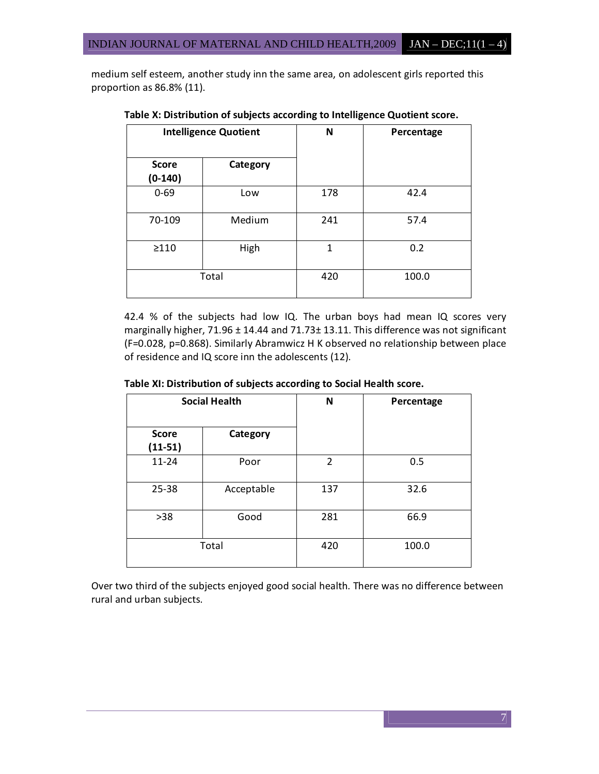medium self esteem, another study inn the same area, on adolescent girls reported this proportion as 86.8% (11).

| <b>Intelligence Quotient</b> |          | N            | Percentage |
|------------------------------|----------|--------------|------------|
| <b>Score</b><br>$(0-140)$    | Category |              |            |
| $0 - 69$                     | Low      | 178          | 42.4       |
| 70-109                       | Medium   | 241          | 57.4       |
| $\geq$ 110                   | High     | $\mathbf{1}$ | 0.2        |
|                              | Total    | 420          | 100.0      |

Table X: Distribution of subjects according to Intelligence Quotient score.

42.4 % of the subjects had low IQ. The urban boys had mean IQ scores very marginally higher, 71.96 ± 14.44 and 71.73± 13.11. This difference was not significant (F=0.028, p=0.868). Similarly Abramwicz H K observed no relationship between place of residence and IQ score inn the adolescents (12).

| <b>Social Health</b>      |            | N              | Percentage |
|---------------------------|------------|----------------|------------|
| <b>Score</b><br>$(11-51)$ | Category   |                |            |
| $11 - 24$                 | Poor       | $\overline{2}$ | 0.5        |
| 25-38                     | Acceptable | 137            | 32.6       |
| $>38$                     | Good       | 281            | 66.9       |
|                           | Total      | 420            | 100.0      |

Table XI: Distribution of subjects according to Social Health score.

Over two third of the subjects enjoyed good social health. There was no difference between rural and urban subjects.